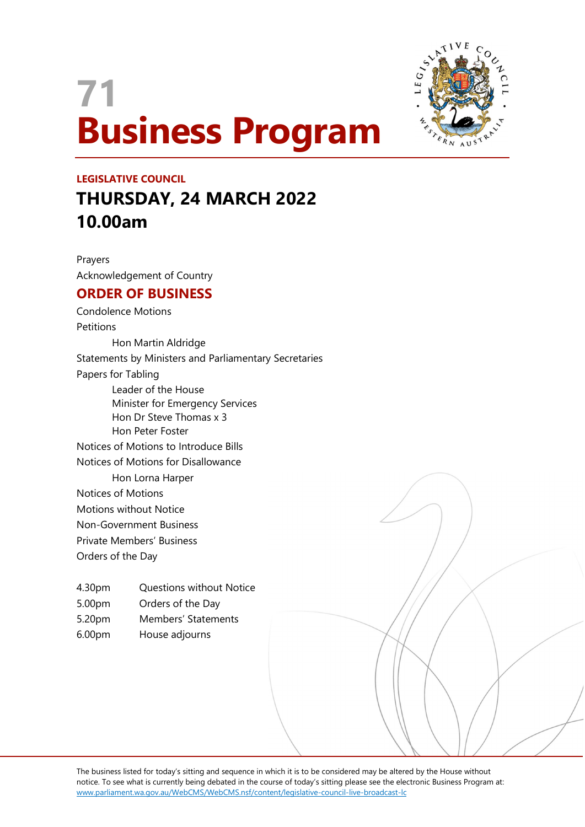# 71 Business Program



## LEGISLATIVE COUNCIL THURSDAY, 24 MARCH 2022 10.00am

Prayers Acknowledgement of Country

### ORDER OF BUSINESS

Condolence Motions **Petitions** Hon Martin Aldridge Statements by Ministers and Parliamentary Secretaries Papers for Tabling Leader of the House Minister for Emergency Services Hon Dr Steve Thomas x 3 Hon Peter Foster Notices of Motions to Introduce Bills Notices of Motions for Disallowance Hon Lorna Harper Notices of Motions Motions without Notice Non-Government Business Private Members' Business

Orders of the Day

- 4.30pm Questions without Notice
- 5.00pm Orders of the Day
- 5.20pm Members' Statements
- 6.00pm House adjourns

The business listed for today's sitting and sequence in which it is to be considered may be altered by the House without notice. To see what is currently being debated in the course of today's sitting please see the electronic Business Program at: www.parliament.wa.gov.au/WebCMS/WebCMS.nsf/content/legislative-council-live-broadcast-lc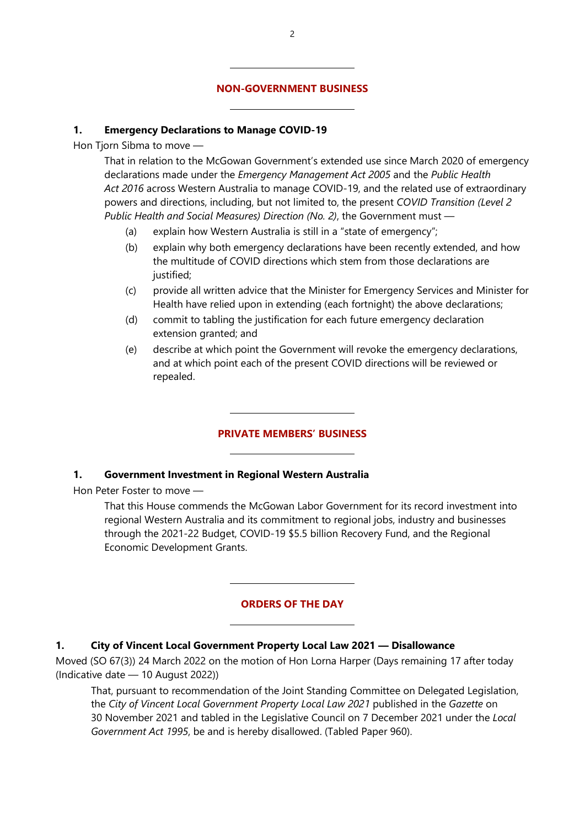#### NON-GOVERNMENT BUSINESS

#### 1. Emergency Declarations to Manage COVID-19

 $\overline{a}$ 

 $\overline{a}$ 

Hon Tiorn Sibma to move -

That in relation to the McGowan Government's extended use since March 2020 of emergency declarations made under the Emergency Management Act 2005 and the Public Health Act 2016 across Western Australia to manage COVID-19, and the related use of extraordinary powers and directions, including, but not limited to, the present COVID Transition (Level 2 Public Health and Social Measures) Direction (No. 2), the Government must —

- (a) explain how Western Australia is still in a "state of emergency";
- (b) explain why both emergency declarations have been recently extended, and how the multitude of COVID directions which stem from those declarations are justified;
- (c) provide all written advice that the Minister for Emergency Services and Minister for Health have relied upon in extending (each fortnight) the above declarations;
- (d) commit to tabling the justification for each future emergency declaration extension granted; and
- (e) describe at which point the Government will revoke the emergency declarations, and at which point each of the present COVID directions will be reviewed or repealed.

#### PRIVATE MEMBERS' BUSINESS

#### 1. Government Investment in Regional Western Australia

 $\overline{a}$ 

 $\overline{a}$ 

 $\overline{a}$ 

 $\overline{a}$ 

Hon Peter Foster to move —

That this House commends the McGowan Labor Government for its record investment into regional Western Australia and its commitment to regional jobs, industry and businesses through the 2021-22 Budget, COVID-19 \$5.5 billion Recovery Fund, and the Regional Economic Development Grants.

#### ORDERS OF THE DAY

#### 1. City of Vincent Local Government Property Local Law 2021 — Disallowance

Moved (SO 67(3)) 24 March 2022 on the motion of Hon Lorna Harper (Days remaining 17 after today (Indicative date — 10 August 2022))

That, pursuant to recommendation of the Joint Standing Committee on Delegated Legislation, the City of Vincent Local Government Property Local Law 2021 published in the Gazette on 30 November 2021 and tabled in the Legislative Council on 7 December 2021 under the Local Government Act 1995, be and is hereby disallowed. (Tabled Paper 960).